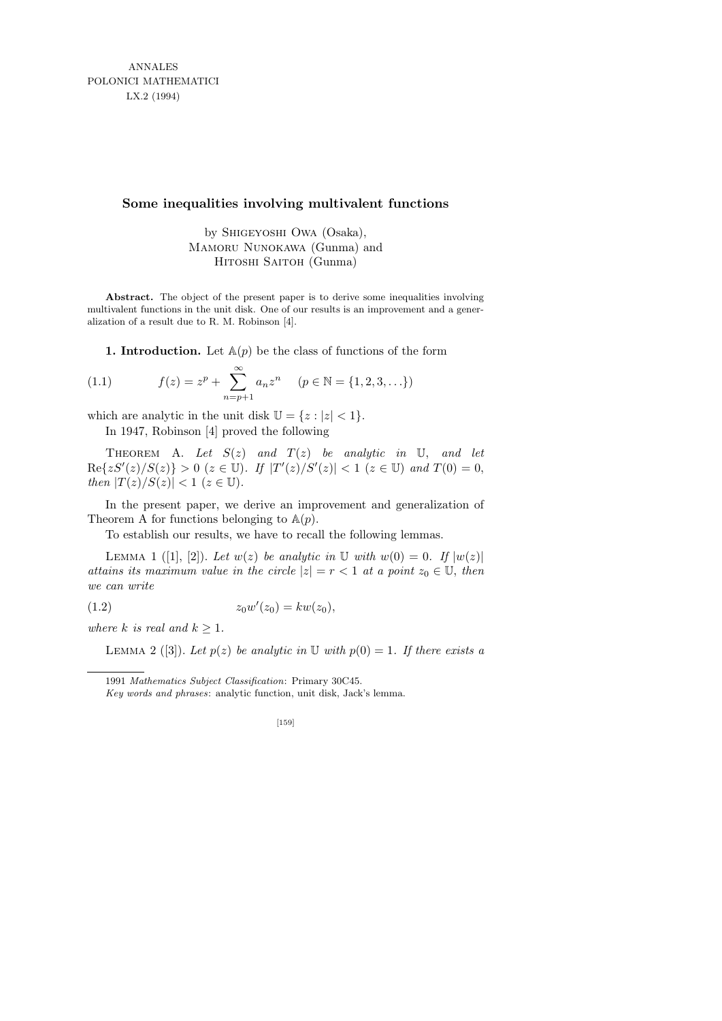ANNALES POLONICI MATHEMATICI LX.2 (1994)

## **Some inequalities involving multivalent functions**

by Shigeyoshi Owa (Osaka), Mamoru Nunokawa (Gunma) and Hitoshi Saitoh (Gunma)

Abstract. The object of the present paper is to derive some inequalities involving multivalent functions in the unit disk. One of our results is an improvement and a generalization of a result due to R. M. Robinson [4].

1. Introduction. Let  $A(p)$  be the class of functions of the form

(1.1) 
$$
f(z) = z^{p} + \sum_{n=p+1}^{\infty} a_{n} z^{n} \quad (p \in \mathbb{N} = \{1, 2, 3, \ldots\})
$$

which are analytic in the unit disk  $\mathbb{U} = \{z : |z| < 1\}.$ 

In 1947, Robinson [4] proved the following

THEOREM A. Let  $S(z)$  and  $T(z)$  be analytic in U, and let  $\text{Re}\{zS'(z)/S(z)\} > 0 \ (z \in \mathbb{U})$ . If  $|T'(z)/S'(z)| < 1 \ (z \in \mathbb{U})$  and  $T(0) = 0$ , then  $|T(z)/S(z)| < 1$  ( $z \in \mathbb{U}$ ).

In the present paper, we derive an improvement and generalization of Theorem A for functions belonging to  $\mathbb{A}(p)$ .

To establish our results, we have to recall the following lemmas.

LEMMA 1 ([1], [2]). Let  $w(z)$  be analytic in  $\mathbb U$  with  $w(0) = 0$ . If  $|w(z)|$ attains its maximum value in the circle  $|z| = r < 1$  at a point  $z_0 \in \mathbb{U}$ , then we can write

(1.2) 
$$
z_0 w'(z_0) = k w(z_0),
$$

where k is real and  $k \geq 1$ .

LEMMA 2 ([3]). Let  $p(z)$  be analytic in U with  $p(0) = 1$ . If there exists a

[159]

<sup>1991</sup> *Mathematics Subject Classification*: Primary 30C45.

*Key words and phrases*: analytic function, unit disk, Jack's lemma.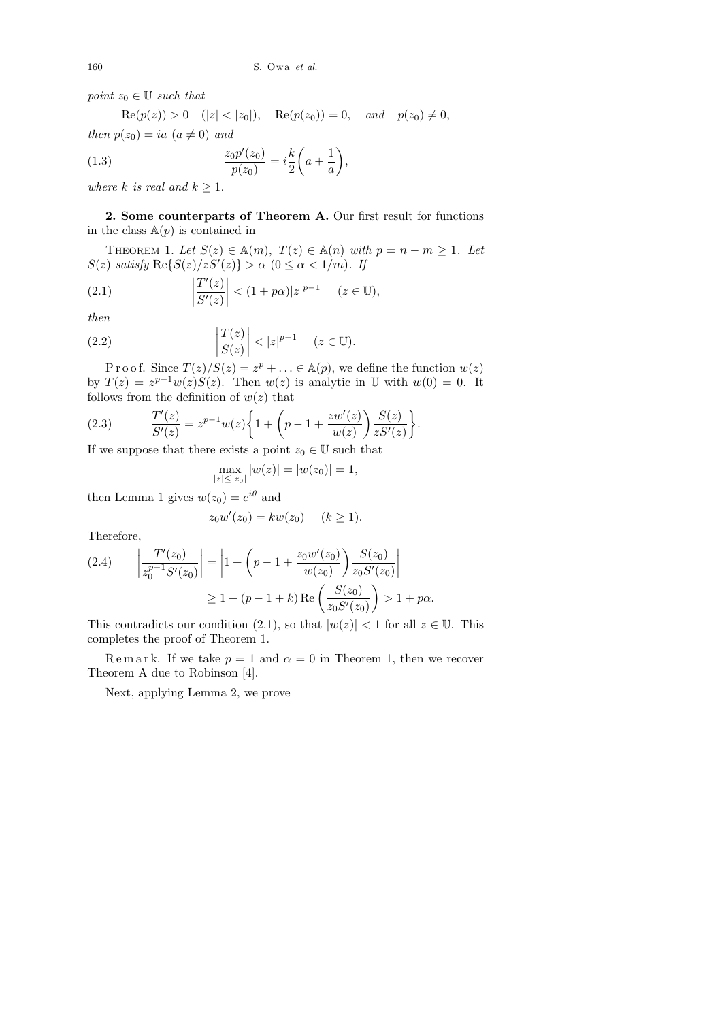point  $z_0 \in \mathbb{U}$  such that

 $\text{Re}(p(z)) > 0 \quad (|z| < |z_0|), \quad \text{Re}(p(z_0)) = 0, \quad \text{and} \quad p(z_0) \neq 0,$ then  $p(z_0) = ia \ (a \neq 0) \ and$  $\mathcal{L}^{\text{max}}$ 

(1.3) 
$$
\frac{z_0 p'(z_0)}{p(z_0)} = i \frac{k}{2} \left( a + \frac{1}{a} \right),
$$

where k is real and  $k \geq 1$ .

2. Some counterparts of Theorem A. Our first result for functions in the class  $A(p)$  is contained in

THEOREM 1. Let  $S(z) \in A(m)$ ,  $T(z) \in A(n)$  with  $p = n - m \ge 1$ . Let  $S(z)$  satisfy  $\text{Re}\{S(z)/zS'(z)\} > \alpha \ (0 \leq \alpha < 1/m)$ . If

(2.1) 
$$
\left|\frac{T'(z)}{S'(z)}\right| < (1+p\alpha)|z|^{p-1} \quad (z \in \mathbb{U}),
$$

then

(2.2) 
$$
\left|\frac{T(z)}{S(z)}\right| < |z|^{p-1} \quad (z \in \mathbb{U}).
$$

P r o o f. Since  $T(z)/S(z) = z^p + \ldots \in A(p)$ , we define the function  $w(z)$ by  $T(z) = z^{p-1}w(z)S(z)$ . Then  $w(z)$  is analytic in U with  $w(0) = 0$ . It follows from the definition of  $w(z)$  that

(2.3) 
$$
\frac{T'(z)}{S'(z)} = z^{p-1}w(z)\bigg\{1+\bigg(p-1+\frac{zw'(z)}{w(z)}\bigg)\frac{S(z)}{zS'(z)}\bigg\}.
$$

If we suppose that there exists a point  $z_0 \in \mathbb{U}$  such that

$$
\max_{|z| \le |z_0|} |w(z)| = |w(z_0)| = 1,
$$

then Lemma 1 gives  $w(z_0) = e^{i\theta}$  and

$$
z_0 w'(z_0) = k w(z_0) \quad (k \ge 1).
$$

Therefore,

$$
(2.4) \qquad \left| \frac{T'(z_0)}{z_0^{p-1} S'(z_0)} \right| = \left| 1 + \left( p - 1 + \frac{z_0 w'(z_0)}{w(z_0)} \right) \frac{S(z_0)}{z_0 S'(z_0)} \right|
$$
  
 
$$
\geq 1 + (p - 1 + k) \operatorname{Re} \left( \frac{S(z_0)}{z_0 S'(z_0)} \right) > 1 + p\alpha.
$$

This contradicts our condition (2.1), so that  $|w(z)| < 1$  for all  $z \in \mathbb{U}$ . This completes the proof of Theorem 1.

Remark. If we take  $p = 1$  and  $\alpha = 0$  in Theorem 1, then we recover Theorem A due to Robinson [4].

Next, applying Lemma 2, we prove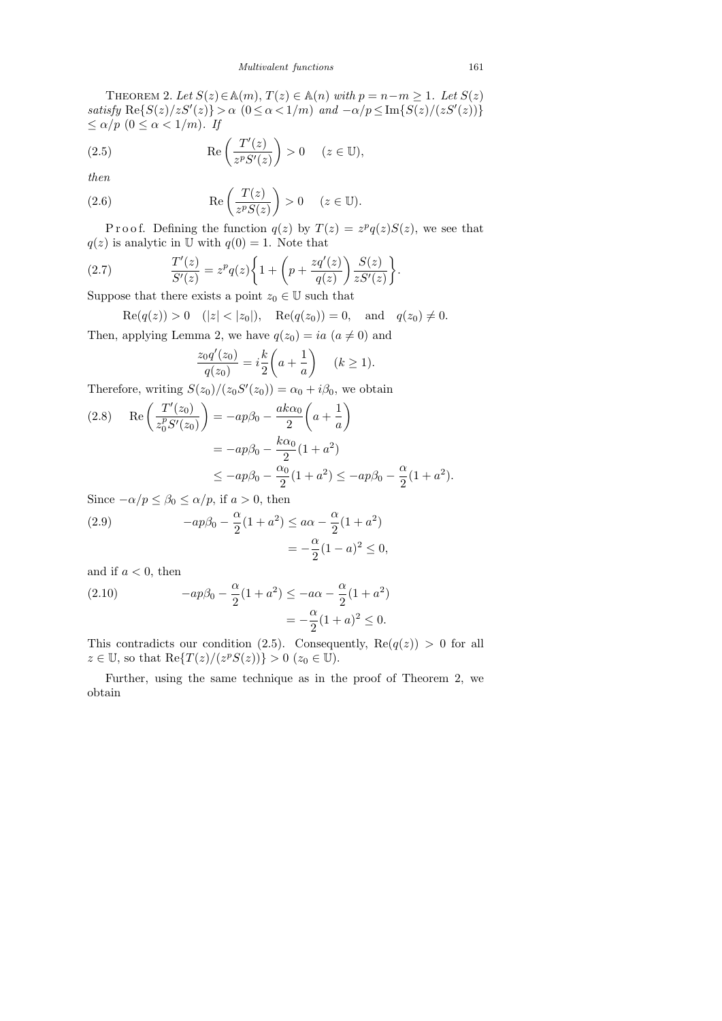THEOREM 2. Let  $S(z) \in \mathbb{A}(m)$ ,  $T(z) \in \mathbb{A}(n)$  with  $p = n - m \geq 1$ . Let  $S(z)$ satisfy  $\text{Re}\{S(z)/zS'(z)\} > \alpha \ (0 \leq \alpha < 1/m) \ \text{and} \ -\alpha/p \leq \text{Im}\{S(z)/zS'(z)\}$  $\leq \alpha/p \ (0 \leq \alpha < 1/m)$ . If

(2.5) 
$$
\operatorname{Re}\left(\frac{T'(z)}{z^p S'(z)}\right) > 0 \quad (z \in \mathbb{U}),
$$

then

(2.6) 
$$
\operatorname{Re}\left(\frac{T(z)}{z^p S(z)}\right) > 0 \quad (z \in \mathbb{U}).
$$

P r o o f. Defining the function  $q(z)$  by  $T(z) = z^p q(z) S(z)$ , we see that  $q(z)$  is analytic in U with  $q(0) = 1$ . Note that

(2.7) 
$$
\frac{T'(z)}{S'(z)} = z^p q(z) \bigg\{ 1 + \bigg(p + \frac{zq'(z)}{q(z)}\bigg) \frac{S(z)}{zS'(z)} \bigg\}.
$$

Suppose that there exists a point  $z_0 \in \mathbb{U}$  such that

 $\text{Re}(q(z)) > 0 \quad (|z| < |z_0|), \quad \text{Re}(q(z_0)) = 0, \quad \text{and} \quad q(z_0) \neq 0.$ 

Then, applying Lemma 2, we have  $q(z_0) = ia$   $(a \neq 0)$  and

$$
\frac{z_0 q'(z_0)}{q(z_0)} = i \frac{k}{2} \left( a + \frac{1}{a} \right) \quad (k \ge 1).
$$

Therefore, writing  $S(z_0)/(z_0S'(z_0)) = \alpha_0 + i\beta_0$ , we obtain

(2.8) 
$$
\operatorname{Re}\left(\frac{T'(z_0)}{z_0^p S'(z_0)}\right) = -ap\beta_0 - \frac{ak\alpha_0}{2} \left(a + \frac{1}{a}\right)
$$

$$
= -ap\beta_0 - \frac{k\alpha_0}{2} (1 + a^2)
$$

$$
\le -ap\beta_0 - \frac{\alpha_0}{2} (1 + a^2) \le -ap\beta_0 - \frac{\alpha}{2} (1 + a^2).
$$

Since  $-\alpha/p \leq \beta_0 \leq \alpha/p$ , if  $a > 0$ , then

(2.9) 
$$
-ap\beta_0 - \frac{\alpha}{2}(1+a^2) \leq a\alpha - \frac{\alpha}{2}(1+a^2) = -\frac{\alpha}{2}(1-a)^2 \leq 0,
$$

and if  $a < 0$ , then

(2.10) 
$$
-ap\beta_0 - \frac{\alpha}{2}(1+a^2) \le -a\alpha - \frac{\alpha}{2}(1+a^2) = -\frac{\alpha}{2}(1+a)^2 \le 0.
$$

This contradicts our condition (2.5). Consequently,  $\text{Re}(q(z)) > 0$  for all  $z \in \mathbb{U}$ , so that  $\text{Re}\{T(z)/(z^pS(z))\} > 0$   $(z_0 \in \mathbb{U})$ .

Further, using the same technique as in the proof of Theorem 2, we obtain